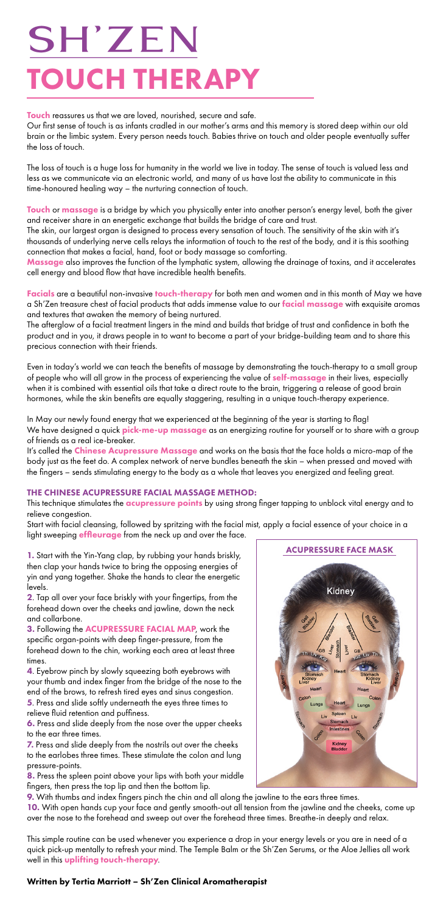Our first sense of touch is as infants cradled in our mother's arms and this memory is stored deep within our old brain or the limbic system. Every person needs touch. Babies thrive on touch and older people eventually suffer the loss of touch.

Touch or massage is a bridge by which you physically enter into another person's energy level, both the giver and receiver share in an energetic exchange that builds the bridge of care and trust.

The loss of touch is a huge loss for humanity in the world we live in today. The sense of touch is valued less and less as we communicate via an electronic world, and many of us have lost the ability to communicate in this time-honoured healing way – the nurturing connection of touch.

Facials are a beautiful non-invasive touch-therapy for both men and women and in this month of May we have a Sh'Zen treasure chest of facial products that adds immense value to our facial massage with exquisite aromas and textures that awaken the memory of being nurtured.

The skin, our largest organ is designed to process every sensation of touch. The sensitivity of the skin with it's thousands of underlying nerve cells relays the information of touch to the rest of the body, and it is this soothing connection that makes a facial, hand, foot or body massage so comforting.

Massage also improves the function of the lymphatic system, allowing the drainage of toxins, and it accelerates cell energy and blood flow that have incredible health benefits.

It's called the **Chinese Acupressure Massage** and works on the basis that the face holds a micro-map of the body just as the feet do. A complex network of nerve bundles beneath the skin – when pressed and moved with the fingers – sends stimulating energy to the body as a whole that leaves you energized and feeling great.

This technique stimulates the **acupressure points** by using strong finger tapping to unblock vital energy and to relieve congestion.

Start with facial cleansing, followed by spritzing with the facial mist, apply a facial essence of your choice in a light sweeping **effleurage** from the neck up and over the face.

The afterglow of a facial treatment lingers in the mind and builds that bridge of trust and confidence in both the product and in you, it draws people in to want to become a part of your bridge-building team and to share this precious connection with their friends.

Even in today's world we can teach the benefits of massage by demonstrating the touch-therapy to a small group of people who will all grow in the process of experiencing the value of **self-massage** in their lives, especially when it is combined with essential oils that take a direct route to the brain, triggering a release of good brain hormones, while the skin benefits are equally staggering, resulting in a unique touch-therapy experience.

10. With open hands cup your face and gently smooth-out all tension from the jawline and the cheeks, come up over the nose to the forehead and sweep out over the forehead three times. Breathe-in deeply and relax.

This simple routine can be used whenever you experience a drop in your energy levels or you are in need of a quick pick-up mentally to refresh your mind. The Temple Balm or the Sh'Zen Serums, or the Aloe Jellies all work well in this uplifting touch-therapy.

In May our newly found energy that we experienced at the beginning of the year is starting to flag! We have designed a quick **pick-me-up massage** as an energizing routine for yourself or to share with a group of friends as a real ice-breaker.

# **SH'ZEN** TOUCH THERAPY

Touch reassures us that we are loved, nourished, secure and safe.

### THE CHINESE ACUPRESSURE FACIAL MASSAGE METHOD:

1. Start with the Yin-Yang clap, by rubbing your hands briskly, then clap your hands twice to bring the opposing energies of yin and yang together. Shake the hands to clear the energetic levels.

2. Tap all over your face briskly with your fingertips, from the forehead down over the cheeks and jawline, down the neck and collarbone.

3. Following the ACUPRESSURE FACIAL MAP, work the specific organ-points with deep finger-pressure, from the forehead down to the chin, working each area at least three times.

4. Eyebrow pinch by slowly squeezing both eyebrows with

your thumb and index finger from the bridge of the nose to the end of the brows, to refresh tired eyes and sinus congestion.

5. Press and slide softly underneath the eyes three times to relieve fluid retention and puffiness.

6. Press and slide deeply from the nose over the upper cheeks to the ear three times.

7. Press and slide deeply from the nostrils out over the cheeks to the earlobes three times. These stimulate the colon and lung pressure-points.

8. Press the spleen point above your lips with both your middle fingers, then press the top lip and then the bottom lip.

9. With thumbs and index fingers pinch the chin and all along the jawline to the ears three times.

### Written by Tertia Marriott – Sh'Zen Clinical Aromatherapist